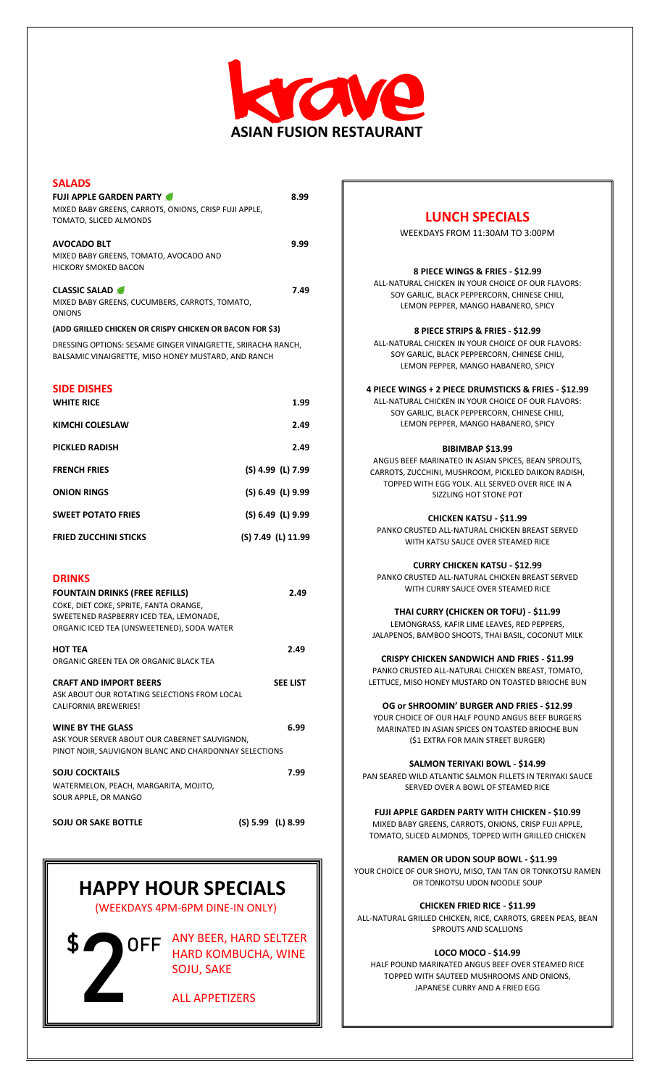

| <b>SALADS</b>                                                                                                       |                    |
|---------------------------------------------------------------------------------------------------------------------|--------------------|
| <b>FUJI APPLE GARDEN PARTY</b><br>MIXED BABY GREENS, CARROTS, ONIONS, CRISP FUJI APPLE,<br>TOMATO, SLICED ALMONDS   | 8.99               |
| <b>AVOCADO BLT</b>                                                                                                  | 9.99               |
| MIXED BABY GREENS, TOMATO, AVOCADO AND<br><b>HICKORY SMOKED BACON</b>                                               |                    |
| <b>CLASSIC SALAD</b>                                                                                                | 7.49               |
| MIXED BABY GREENS, CUCUMBERS, CARROTS, TOMATO,<br><b>ONIONS</b>                                                     |                    |
| (ADD GRILLED CHICKEN OR CRISPY CHICKEN OR BACON FOR \$3)                                                            |                    |
| DRESSING OPTIONS: SESAME GINGER VINAIGRETTE, SRIRACHA RANCH,<br>BALSAMIC VINAIGRETTE, MISO HONEY MUSTARD, AND RANCH |                    |
| <b>SIDE DISHES</b>                                                                                                  |                    |
| <b>WHITE RICE</b>                                                                                                   | 1.99               |
| KIMCHI COLESLAW                                                                                                     | 2.49               |
| <b>PICKLED RADISH</b>                                                                                               | 2.49               |
| <b>FRENCH FRIES</b>                                                                                                 | (S) 4.99 (L) 7.99  |
| <b>ONION RINGS</b>                                                                                                  | (S) 6.49 (L) 9.99  |
| <b>SWEET POTATO FRIES</b>                                                                                           | (S) 6.49 (L) 9.99  |
| <b>FRIED ZUCCHINI STICKS</b>                                                                                        | (S) 7.49 (L) 11.99 |
|                                                                                                                     |                    |
| <b>DRINKS</b>                                                                                                       |                    |
| <b>FOUNTAIN DRINKS (FREE REFILLS)</b>                                                                               | 2.49               |
| COKE, DIET COKE, SPRITE, FANTA ORANGE,<br>SWEETENED RASPBERRY ICED TEA, LEMONADE,                                   |                    |
| ORGANIC ICED TEA (UNSWEETENED), SODA WATER                                                                          |                    |
| <b>HOT TEA</b>                                                                                                      | 2.49               |
| ORGANIC GREEN TEA OR ORGANIC BLACK TEA                                                                              |                    |
| <b>CRAFT AND IMPORT BEERS</b>                                                                                       | <b>SEE LIST</b>    |
| ASK ABOUT OUR ROTATING SELECTIONS FROM LOCAL                                                                        |                    |
| <b>CALIFORNIA BREWERIES!</b>                                                                                        |                    |
| <b>WINE BY THE GLASS</b>                                                                                            | 6.99               |
| ASK YOUR SERVER ABOUT OUR CABERNET SAUVIGNON,<br>PINOT NOIR, SAUVIGNON BLANC AND CHARDONNAY SELECTIONS              |                    |
| <b>SOJU COCKTAILS</b>                                                                                               |                    |
|                                                                                                                     | 7.99               |
| WATERMELON, PEACH, MARGARITA, MOJITO,                                                                               |                    |
| SOUR APPLE, OR MANGO                                                                                                |                    |

# **HAPPY HOUR SPECIALS**

(WEEKDAYS 4PM-6PM DINE-IN ONLY)

**2**

**ANY BEER, HARD SELTZER** HARD KOMBUCHA, WINE SOJU, SAKE

ALL APPETIZERS

## **LUNCH SPECIALS**

WEEKDAYS FROM 11:30AM TO 3:00PM

#### **8 PIECE WINGS & FRIES - \$12.99**

ALL-NATURAL CHICKEN IN YOUR CHOICE OF OUR FLAVORS: SOY GARLIC, BLACK PEPPERCORN, CHINESE CHILI, LEMON PEPPER, MANGO HABANERO, SPICY

#### **8 PIECE STRIPS & FRIES - \$12.99**

ALL-NATURAL CHICKEN IN YOUR CHOICE OF OUR FLAVORS: SOY GARLIC, BLACK PEPPERCORN, CHINESE CHILI, LEMON PEPPER, MANGO HABANERO, SPICY

#### **4 PIECE WINGS + 2 PIECE DRUMSTICKS & FRIES - \$12.99**

ALL-NATURAL CHICKEN IN YOUR CHOICE OF OUR FLAVORS: SOY GARLIC, BLACK PEPPERCORN, CHINESE CHILI, LEMON PEPPER, MANGO HABANERO, SPICY

#### **BIBIMBAP \$13.99**

ANGUS BEEF MARINATED IN ASIAN SPICES, BEAN SPROUTS, CARROTS, ZUCCHINI, MUSHROOM, PICKLED DAIKON RADISH, TOPPED WITH EGG YOLK. ALL SERVED OVER RICE IN A SIZZLING HOT STONE POT

**CHICKEN KATSU - \$11.99**

PANKO CRUSTED ALL-NATURAL CHICKEN BREAST SERVED WITH KATSU SAUCE OVER STEAMED RICE

**CURRY CHICKEN KATSU - \$12.99** PANKO CRUSTED ALL-NATURAL CHICKEN BREAST SERVED WITH CURRY SAUCE OVER STEAMED RICE

**THAI CURRY (CHICKEN OR TOFU) - \$11.99**

LEMONGRASS, KAFIR LIME LEAVES, RED PEPPERS, JALAPENOS, BAMBOO SHOOTS, THAI BASIL, COCONUT MILK

**CRISPY CHICKEN SANDWICH AND FRIES - \$11.99** PANKO CRUSTED ALL-NATURAL CHICKEN BREAST, TOMATO,

LETTUCE, MISO HONEY MUSTARD ON TOASTED BRIOCHE BUN

**OG or SHROOMIN' BURGER AND FRIES - \$12.99** YOUR CHOICE OF OUR HALF POUND ANGUS BEEF BURGERS MARINATED IN ASIAN SPICES ON TOASTED BRIOCHE BUN (\$1 EXTRA FOR MAIN STREET BURGER)

**SALMON TERIYAKI BOWL - \$14.99**

PAN SEARED WILD ATLANTIC SALMON FILLETS IN TERIYAKI SAUCE SERVED OVER A BOWL OF STEAMED RICE

**FUJI APPLE GARDEN PARTY WITH CHICKEN - \$10.99** MIXED BABY GREENS, CARROTS, ONIONS, CRISP FUJI APPLE, TOMATO, SLICED ALMONDS, TOPPED WITH GRILLED CHICKEN

**RAMEN OR UDON SOUP BOWL - \$11.99** YOUR CHOICE OF OUR SHOYU, MISO, TAN TAN OR TONKOTSU RAMEN

OR TONKOTSU UDON NOODLE SOUP

**CHICKEN FRIED RICE - \$11.99**

ALL-NATURAL GRILLED CHICKEN, RICE, CARROTS, GREEN PEAS, BEAN SPROUTS AND SCALLIONS

#### **LOCO MOCO - \$14.99**

HALF POUND MARINATED ANGUS BEEF OVER STEAMED RICE TOPPED WITH SAUTEED MUSHROOMS AND ONIONS, JAPANESE CURRY AND A FRIED EGG